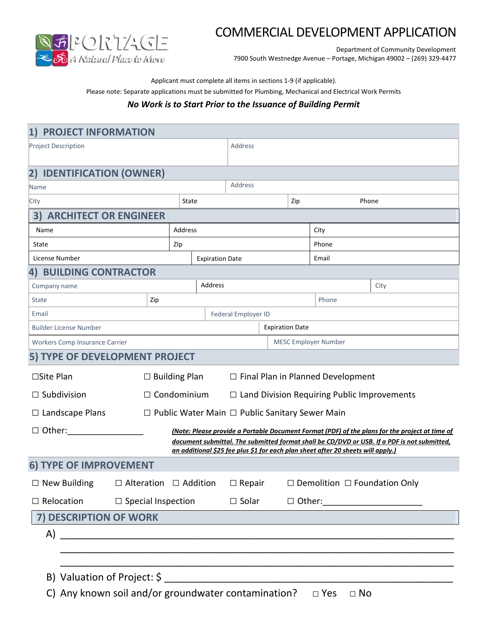

## COMMERCIAL DEVELOPMENT APPLICATION

Department of Community Development 7900 South Westnedge Avenue – Portage, Michigan 49002 – (269) 329-4477

Applicant must complete all items in sections 1-9 (if applicable).

Please note: Separate applications must be submitted for Plumbing, Mechanical and Electrical Work Permits

## *No Work is to Start Prior to the Issuance of Building Permit*

| <b>PROJECT INFORMATION</b><br>1)                                                     |                                                                  |                        |         |                                                    |       |       |                                                                                  |                                                                                                |
|--------------------------------------------------------------------------------------|------------------------------------------------------------------|------------------------|---------|----------------------------------------------------|-------|-------|----------------------------------------------------------------------------------|------------------------------------------------------------------------------------------------|
| <b>Project Description</b>                                                           |                                                                  |                        | Address |                                                    |       |       |                                                                                  |                                                                                                |
| <b>IDENTIFICATION (OWNER)</b><br>2)                                                  |                                                                  |                        |         |                                                    |       |       |                                                                                  |                                                                                                |
| Name                                                                                 |                                                                  |                        |         | Address                                            |       |       |                                                                                  |                                                                                                |
| City                                                                                 |                                                                  | State                  |         | Zip                                                |       |       | Phone                                                                            |                                                                                                |
| 3)<br><b>ARCHITECT OR ENGINEER</b>                                                   |                                                                  |                        |         |                                                    |       |       |                                                                                  |                                                                                                |
| Name                                                                                 | Address                                                          |                        |         |                                                    | City  |       |                                                                                  |                                                                                                |
| State                                                                                |                                                                  | Zlp                    |         |                                                    | Phone |       |                                                                                  |                                                                                                |
| License Number                                                                       |                                                                  | <b>Expiration Date</b> |         |                                                    |       | Email |                                                                                  |                                                                                                |
| <b>BUILDING CONTRACTOR</b><br>4)                                                     |                                                                  |                        |         |                                                    |       |       |                                                                                  |                                                                                                |
| Company name                                                                         |                                                                  | Address                |         |                                                    |       |       |                                                                                  | City                                                                                           |
| <b>State</b>                                                                         | Zip                                                              | Phone                  |         |                                                    |       |       |                                                                                  |                                                                                                |
| Email                                                                                | <b>Federal Employer ID</b>                                       |                        |         |                                                    |       |       |                                                                                  |                                                                                                |
| <b>Builder License Number</b>                                                        |                                                                  |                        |         | <b>Expiration Date</b>                             |       |       |                                                                                  |                                                                                                |
| Workers Comp Insurance Carrier                                                       |                                                                  |                        |         |                                                    |       |       | <b>MESC Employer Number</b>                                                      |                                                                                                |
| 5) TYPE OF DEVELOPMENT PROJECT                                                       |                                                                  |                        |         |                                                    |       |       |                                                                                  |                                                                                                |
| $\square$ Site Plan                                                                  | $\Box$ Building Plan<br>$\Box$ Final Plan in Planned Development |                        |         |                                                    |       |       |                                                                                  |                                                                                                |
| $\Box$ Subdivision                                                                   | $\Box$ Condominium                                               |                        |         | $\Box$ Land Division Requiring Public Improvements |       |       |                                                                                  |                                                                                                |
| $\Box$ Landscape Plans<br>$\Box$ Public Water Main $\Box$ Public Sanitary Sewer Main |                                                                  |                        |         |                                                    |       |       |                                                                                  |                                                                                                |
| $\Box$ Other:                                                                        |                                                                  |                        |         |                                                    |       |       |                                                                                  | (Note: Please provide a Portable Document Format (PDF) of the plans for the project at time of |
|                                                                                      |                                                                  |                        |         |                                                    |       |       | an additional \$25 fee plus \$1 for each plan sheet after 20 sheets will apply.) | document submittal. The submitted format shall be CD/DVD or USB. If a PDF is not submitted,    |
| 6) TYPE OF IMPROVEMENT                                                               |                                                                  |                        |         |                                                    |       |       |                                                                                  |                                                                                                |
| $\Box$ New Building $\Box$ Alteration $\Box$ Addition $\Box$ Repair                  |                                                                  |                        |         |                                                    |       |       | $\Box$ Demolition $\Box$ Foundation Only                                         |                                                                                                |
| $\Box$ Relocation                                                                    | $\Box$ Special Inspection $\Box$ Solar                           |                        |         |                                                    |       |       |                                                                                  |                                                                                                |
| 7) DESCRIPTION OF WORK                                                               |                                                                  |                        |         |                                                    |       |       |                                                                                  |                                                                                                |
|                                                                                      |                                                                  |                        |         |                                                    |       |       |                                                                                  |                                                                                                |
|                                                                                      |                                                                  |                        |         |                                                    |       |       |                                                                                  |                                                                                                |
|                                                                                      |                                                                  |                        |         |                                                    |       |       |                                                                                  |                                                                                                |
|                                                                                      |                                                                  |                        |         |                                                    |       |       |                                                                                  |                                                                                                |
| C) Any known soil and/or groundwater contamination?<br>$\square$ Yes<br>$\Box$ No    |                                                                  |                        |         |                                                    |       |       |                                                                                  |                                                                                                |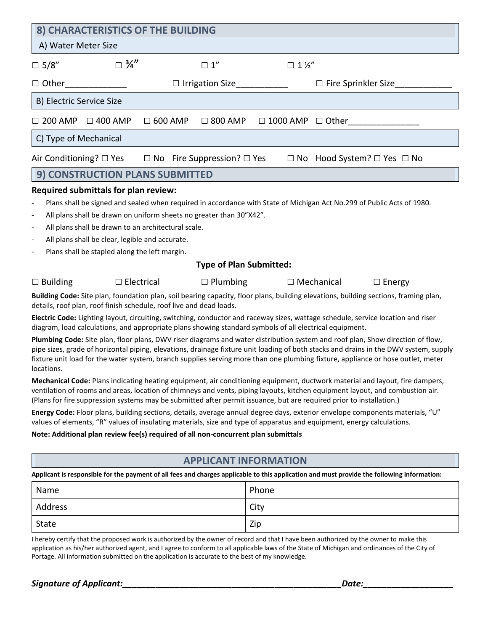| 8) CHARACTERISTICS OF THE BUILDING                                                                                                                                                                                                                                                                                                                                                                                                                                                                                                                                                                                                                        |                                             |  |  |  |  |  |
|-----------------------------------------------------------------------------------------------------------------------------------------------------------------------------------------------------------------------------------------------------------------------------------------------------------------------------------------------------------------------------------------------------------------------------------------------------------------------------------------------------------------------------------------------------------------------------------------------------------------------------------------------------------|---------------------------------------------|--|--|--|--|--|
| A) Water Meter Size                                                                                                                                                                                                                                                                                                                                                                                                                                                                                                                                                                                                                                       |                                             |  |  |  |  |  |
| $\Box$ 3/4"<br>$\square$ 5/8"<br>$\square$ 1"                                                                                                                                                                                                                                                                                                                                                                                                                                                                                                                                                                                                             | $\Box$ 1 1/2"                               |  |  |  |  |  |
| $\Box$ Other<br>$\Box$ Irrigation Size                                                                                                                                                                                                                                                                                                                                                                                                                                                                                                                                                                                                                    | $\Box$ Fire Sprinkler Size                  |  |  |  |  |  |
| B) Electric Service Size                                                                                                                                                                                                                                                                                                                                                                                                                                                                                                                                                                                                                                  |                                             |  |  |  |  |  |
| $\square$ 400 AMP<br>$\Box$ 600 AMP<br>$\Box$ 800 AMP<br>$\Box$ 200 AMP                                                                                                                                                                                                                                                                                                                                                                                                                                                                                                                                                                                   | $\Box$ 1000 AMP $\Box$ Other                |  |  |  |  |  |
| C) Type of Mechanical                                                                                                                                                                                                                                                                                                                                                                                                                                                                                                                                                                                                                                     |                                             |  |  |  |  |  |
| Air Conditioning? $\square$ Yes<br>$\Box$ No Fire Suppression? $\Box$ Yes                                                                                                                                                                                                                                                                                                                                                                                                                                                                                                                                                                                 | $\Box$ No Hood System? $\Box$ Yes $\Box$ No |  |  |  |  |  |
| <b>CONSTRUCTION PLANS SUBMITTED</b><br>9)                                                                                                                                                                                                                                                                                                                                                                                                                                                                                                                                                                                                                 |                                             |  |  |  |  |  |
| <b>Required submittals for plan review:</b>                                                                                                                                                                                                                                                                                                                                                                                                                                                                                                                                                                                                               |                                             |  |  |  |  |  |
| Plans shall be signed and sealed when required in accordance with State of Michigan Act No.299 of Public Acts of 1980.<br>All plans shall be drawn on uniform sheets no greater than 30"X42".<br>$\overline{\phantom{a}}$<br>All plans shall be drawn to an architectural scale.<br>$\overline{\phantom{a}}$<br>All plans shall be clear, legible and accurate.<br>Plans shall be stapled along the left margin.<br>$\overline{\phantom{0}}$                                                                                                                                                                                                              |                                             |  |  |  |  |  |
| <b>Type of Plan Submitted:</b>                                                                                                                                                                                                                                                                                                                                                                                                                                                                                                                                                                                                                            |                                             |  |  |  |  |  |
| $\Box$ Building<br>$\Box$ Electrical<br>$\Box$ Plumbing                                                                                                                                                                                                                                                                                                                                                                                                                                                                                                                                                                                                   | $\Box$ Mechanical<br>$\Box$ Energy          |  |  |  |  |  |
| Building Code: Site plan, foundation plan, soil bearing capacity, floor plans, building elevations, building sections, framing plan,<br>details, roof plan, roof finish schedule, roof live and dead loads.                                                                                                                                                                                                                                                                                                                                                                                                                                               |                                             |  |  |  |  |  |
| Electric Code: Lighting layout, circuiting, switching, conductor and raceway sizes, wattage schedule, service location and riser<br>diagram, load calculations, and appropriate plans showing standard symbols of all electrical equipment.<br>Plumbing Code: Site plan, floor plans, DWV riser diagrams and water distribution system and roof plan, Show direction of flow,<br>pipe sizes, grade of horizontal piping, elevations, drainage fixture unit loading of both stacks and drains in the DWV system, supply<br>fixture unit load for the water system, branch supplies serving more than one plumbing fixture, appliance or hose outlet, meter |                                             |  |  |  |  |  |
| locations.<br>Mechanical Code: Plans indicating heating equipment, air conditioning equipment, ductwork material and layout, fire dampers,<br>ventilation of rooms and areas, location of chimneys and vents, piping layouts, kitchen equipment layout, and combustion air.<br>(Plans for fire suppression systems may be submitted after permit issuance, but are required prior to installation.)                                                                                                                                                                                                                                                       |                                             |  |  |  |  |  |
| Energy Code: Floor plans, building sections, details, average annual degree days, exterior envelope components materials, "U"<br>values of elements, "R" values of insulating materials, size and type of apparatus and equipment, energy calculations.                                                                                                                                                                                                                                                                                                                                                                                                   |                                             |  |  |  |  |  |
| Note: Additional plan review fee(s) required of all non-concurrent plan submittals                                                                                                                                                                                                                                                                                                                                                                                                                                                                                                                                                                        |                                             |  |  |  |  |  |
| <b>APPLICANT INFORMATION</b>                                                                                                                                                                                                                                                                                                                                                                                                                                                                                                                                                                                                                              |                                             |  |  |  |  |  |
| Applicant is responsible for the payment of all fees and charges applicable to this application and must provide the following information:                                                                                                                                                                                                                                                                                                                                                                                                                                                                                                               |                                             |  |  |  |  |  |
| Name                                                                                                                                                                                                                                                                                                                                                                                                                                                                                                                                                                                                                                                      | Phone                                       |  |  |  |  |  |
| Address                                                                                                                                                                                                                                                                                                                                                                                                                                                                                                                                                                                                                                                   | City                                        |  |  |  |  |  |
| State<br>Zip                                                                                                                                                                                                                                                                                                                                                                                                                                                                                                                                                                                                                                              |                                             |  |  |  |  |  |

I hereby certify that the proposed work is authorized by the owner of record and that I have been authorized by the owner to make this application as his/her authorized agent, and I agree to conform to all applicable laws of the State of Michigan and ordinances of the City of Portage. All information submitted on the application is accurate to the best of my knowledge.